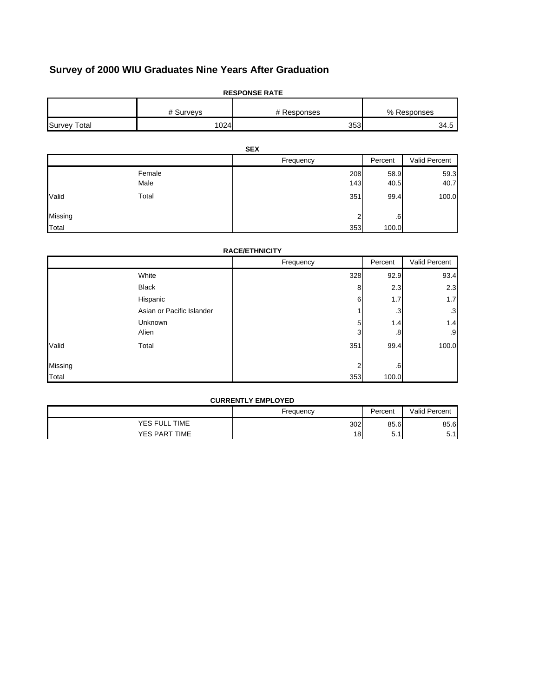# **Survey of 2000 WIU Graduates Nine Years After Graduation**

| <b>RESPONSE RATE</b> |           |             |             |  |
|----------------------|-----------|-------------|-------------|--|
|                      | # Surveys | # Responses | % Responses |  |
| <b>Survey Total</b>  | 1024      | 353         | 34.5        |  |

| <b>SEX</b> |        |           |         |               |
|------------|--------|-----------|---------|---------------|
|            |        | Frequency | Percent | Valid Percent |
|            | Female | 208       | 58.9    | 59.3          |
|            | Male   | 143       | 40.5    | 40.7          |
| Valid      | Total  | 351       | 99.4    | 100.0         |
| Missing    |        | ◠<br>∠    | .6      |               |
| Total      |        | 353       | 100.0   |               |

|         | <b>RACE/ETHNICITY</b>     |                |         |               |  |
|---------|---------------------------|----------------|---------|---------------|--|
|         |                           | Frequency      | Percent | Valid Percent |  |
|         | White                     | 328            | 92.9    | 93.4          |  |
|         | <b>Black</b>              | 8              | 2.3     | 2.3           |  |
|         | Hispanic                  | 6              | 1.7     | 1.7           |  |
|         | Asian or Pacific Islander |                | .3      | $\cdot$ 3     |  |
|         | Unknown                   | 5              | 1.4     | 1.4           |  |
|         | Alien                     | 3              | .8      | .9            |  |
| Valid   | Total                     | 351            | 99.4    | 100.0         |  |
| Missing |                           | $\overline{2}$ | .6      |               |  |
| Total   |                           | 353            | 100.0   |               |  |

#### **CURRENTLY EMPLOYED**

|                         | Frequency | Percent        | <b>Valid Percent</b>   |
|-------------------------|-----------|----------------|------------------------|
| <b>TIME</b><br>YES FULL | 302       | 85.6           | 85.6                   |
| YES PART TIME           | 18        | -<br>∽<br>◡. เ | 5 <sup>2</sup><br>ບ. ເ |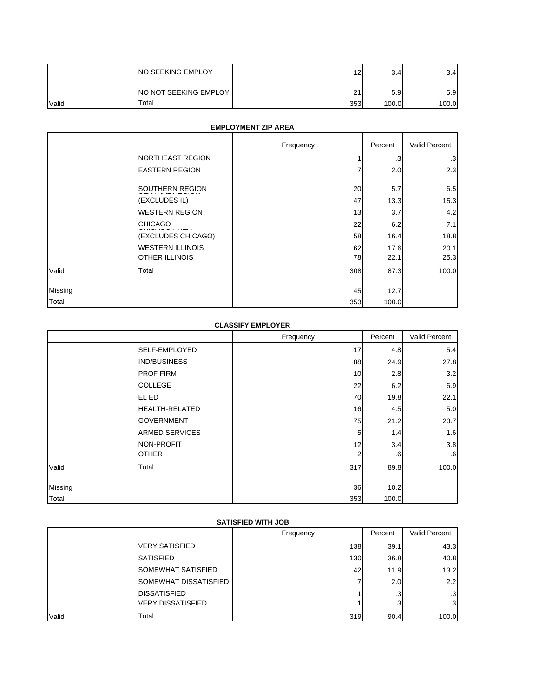|       | NO SEEKING EMPLOY     | 12  | 3.4   | 3.4I  |
|-------|-----------------------|-----|-------|-------|
|       | NO NOT SEEKING EMPLOY | 21  | 5.9   | 5.9   |
| Valid | Total                 | 353 | 100.0 | 100.0 |

## **EMPLOYMENT ZIP AREA**

|         |                                                  | Frequency | Percent      | Valid Percent |
|---------|--------------------------------------------------|-----------|--------------|---------------|
|         | NORTHEAST REGION                                 |           | .3           | $\cdot$ 3     |
|         | <b>EASTERN REGION</b>                            |           | 2.0          | 2.3           |
|         | SOUTHERN REGION                                  | 20        | 5.7          | 6.5           |
|         | (EXCLUDES IL)                                    | 47        | 13.3         | 15.3          |
|         | <b>WESTERN REGION</b>                            | 13        | 3.7          | 4.2           |
|         | <b>CHICAGO</b>                                   | 22        | 6.2          | 7.1           |
|         | (EXCLUDES CHICAGO)                               | 58        | 16.4         | 18.8          |
|         | <b>WESTERN ILLINOIS</b><br><b>OTHER ILLINOIS</b> | 62<br>78  | 17.6<br>22.1 | 20.1<br>25.3  |
| Valid   | Total                                            | 308       | 87.3         | 100.0         |
| Missing |                                                  | 45        | 12.7         |               |
| Total   |                                                  | 353       | 100.0        |               |

#### **CLASSIFY EMPLOYER**

|         |                       | Frequency | Percent | Valid Percent |
|---------|-----------------------|-----------|---------|---------------|
|         | SELF-EMPLOYED         | 17        | 4.8     | 5.4           |
|         | IND/BUSINESS          | 88        | 24.9    | 27.8          |
|         | <b>PROF FIRM</b>      | 10        | 2.8     | 3.2           |
|         | COLLEGE               | 22        | 6.2     | 6.9           |
|         | EL ED                 | 70        | 19.8    | 22.1          |
|         | <b>HEALTH-RELATED</b> | 16        | 4.5     | 5.0           |
|         | <b>GOVERNMENT</b>     | 75        | 21.2    | 23.7          |
|         | <b>ARMED SERVICES</b> | 5         | 1.4     | 1.6           |
|         | NON-PROFIT            | 12        | 3.4     | 3.8           |
|         | <b>OTHER</b>          | 2         | 6.6     | .6            |
| Valid   | Total                 | 317       | 89.8    | 100.0         |
| Missing |                       | 36        | 10.2    |               |
| Total   |                       | 353       | 100.0   |               |

## **SATISFIED WITH JOB**

| 50    |                          |           |         |                 |
|-------|--------------------------|-----------|---------|-----------------|
|       |                          | Frequency | Percent | Valid Percent   |
|       | <b>VERY SATISFIED</b>    | 138       | 39.1    | 43.3            |
|       | <b>SATISFIED</b>         | 130       | 36.8    | 40.8            |
|       | SOMEWHAT SATISFIED       | 42        | 11.9    | 13.2            |
|       | SOMEWHAT DISSATISFIED    |           | 2.0     | 2.2             |
|       | <b>DISSATISFIED</b>      |           | .3      | .3 <sup>1</sup> |
|       | <b>VERY DISSATISFIED</b> |           | .3      | $\cdot$ 3       |
| Valid | Total                    | 319       | 90.4    | 100.0           |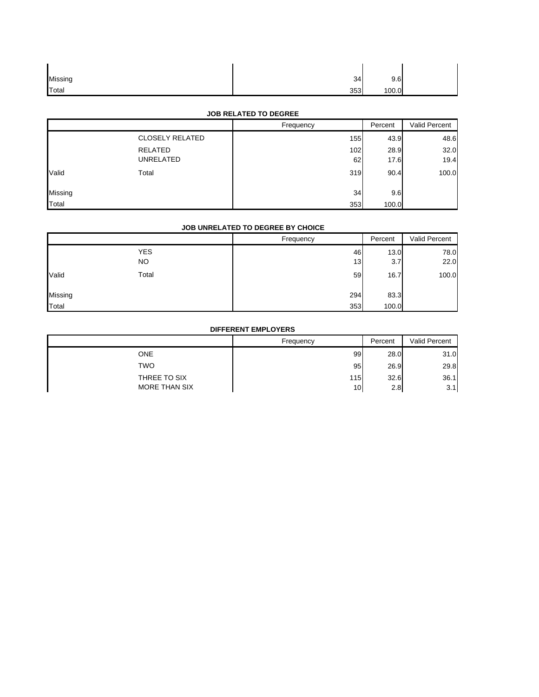| Missing | 34  | 9.6   |  |
|---------|-----|-------|--|
| Total   | 353 | 100.0 |  |

#### **JOB RELATED TO DEGREE**

|                |                        | Frequency | Percent | Valid Percent |
|----------------|------------------------|-----------|---------|---------------|
|                | <b>CLOSELY RELATED</b> | 155       | 43.9    | 48.6          |
|                | RELATED                | 102       | 28.9    | 32.0          |
|                | UNRELATED              | 62        | 17.6    | 19.4          |
| Valid          | Total                  | 319       | 90.4    | 100.0         |
| <b>Missing</b> |                        | 34        | 9.6     |               |
| Total          |                        | 353       | 100.0   |               |

#### **JOB UNRELATED TO DEGREE BY CHOICE**

|         |                         | Frequency | Percent     | Valid Percent |
|---------|-------------------------|-----------|-------------|---------------|
|         | <b>YES</b><br><b>NO</b> | 46<br>13  | 13.0<br>3.7 | 78.0<br>22.0  |
| Valid   | Total                   | 59        | 16.7        | 100.0         |
| Missing |                         | 294       | 83.3        |               |
| Total   |                         | 353       | 100.0       |               |

## **DIFFERENT EMPLOYERS**

|                                      | Frequency | Percent     | Valid Percent |
|--------------------------------------|-----------|-------------|---------------|
| ONE                                  | 99        | 28.0        | 31.0          |
| <b>TWO</b>                           | 95        | 26.9        | 29.8          |
| THREE TO SIX<br><b>MORE THAN SIX</b> | 115<br>10 | 32.6<br>2.8 | 36.1<br>3.1   |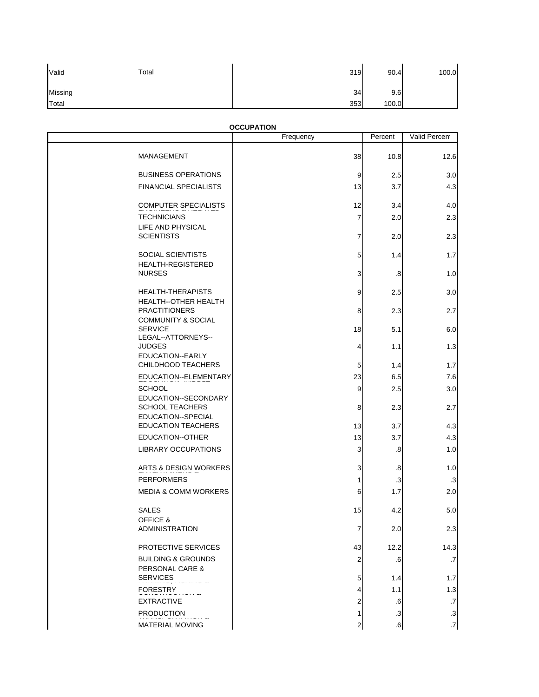| Valid         | Total | 319 | 90.4  | 100.0 |
|---------------|-------|-----|-------|-------|
| Missing       |       | 34  | 9.6   |       |
| <b>T</b> otal |       | 353 | 100.0 |       |

#### **OCCUPATION**

|                                                      | Frequency | Percent           | Valid Percent            |
|------------------------------------------------------|-----------|-------------------|--------------------------|
| MANAGEMENT                                           | 38        | 10.8              | 12.6                     |
| <b>BUSINESS OPERATIONS</b>                           | 9         | 2.5               | 3.0                      |
| <b>FINANCIAL SPECIALISTS</b>                         | 13        | 3.7               | 4.3                      |
| <b>COMPUTER SPECIALISTS</b>                          | 12        | 3.4               | 4.0                      |
| <b>TECHNICIANS</b><br>LIFE AND PHYSICAL              | 7         | 2.0               | 2.3                      |
| <b>SCIENTISTS</b>                                    | 7         | 2.0               | 2.3                      |
| <b>SOCIAL SCIENTISTS</b><br><b>HEALTH-REGISTERED</b> | 5         | 1.4               | 1.7                      |
| <b>NURSES</b>                                        | 3         | $\boldsymbol{.8}$ | 1.0                      |
| HEALTH-THERAPISTS                                    | 9         | 2.5               | 3.0                      |
| HEALTH--OTHER HEALTH<br><b>PRACTITIONERS</b>         | 8         | 2.3               | 2.7                      |
| <b>COMMUNITY &amp; SOCIAL</b><br><b>SERVICE</b>      | 18        | 5.1               | 6.0                      |
| LEGAL--ATTORNEYS--<br><b>JUDGES</b>                  | 4         | 1.1               | 1.3                      |
| EDUCATION--EARLY<br>CHILDHOOD TEACHERS               | 5         | 1.4               | 1.7                      |
| EDUCATION--ELEMENTARY                                | 23        | 6.5               | 7.6                      |
| <b>SCHOOL</b>                                        | 9         | 2.5               | 3.0                      |
| EDUCATION--SECONDARY<br><b>SCHOOL TEACHERS</b>       | 8         | 2.3               | 2.7                      |
| EDUCATION--SPECIAL<br><b>EDUCATION TEACHERS</b>      | 13        | 3.7               | 4.3                      |
| EDUCATION--OTHER                                     | 13        | 3.7               | 4.3                      |
| <b>LIBRARY OCCUPATIONS</b>                           | 3         | .8                | 1.0                      |
| ARTS & DESIGN WORKERS                                | 3         | .8                | 1.0                      |
| <b>PERFORMERS</b>                                    | 1         | $\cdot$ 3         | $\cdot$ 3                |
| <b>MEDIA &amp; COMM WORKERS</b>                      | 6         | 1.7               | 2.0                      |
| <b>SALES</b><br>OFFICE &                             | 15        | 4.2               | 5.0                      |
| <b>ADMINISTRATION</b>                                | 7         | 2.0               | 2.31                     |
| PROTECTIVE SERVICES                                  | 43        | 12.2              | 14.3                     |
| <b>BUILDING &amp; GROUNDS</b><br>PERSONAL CARE &     | 2         | .6                | .7                       |
| <b>SERVICES</b>                                      | 5         | 1.4               | 1.7                      |
| FORESTRY                                             | 4         | 1.1               | $1.3$                    |
| <b>EXTRACTIVE</b>                                    | 2         | .6                | $\cdot$                  |
| <b>PRODUCTION</b>                                    | 1         | $\cdot$ 3         | $\cdot$ 3                |
| <b>MATERIAL MOVING</b>                               | 2         | .6                | $\overline{\mathcal{L}}$ |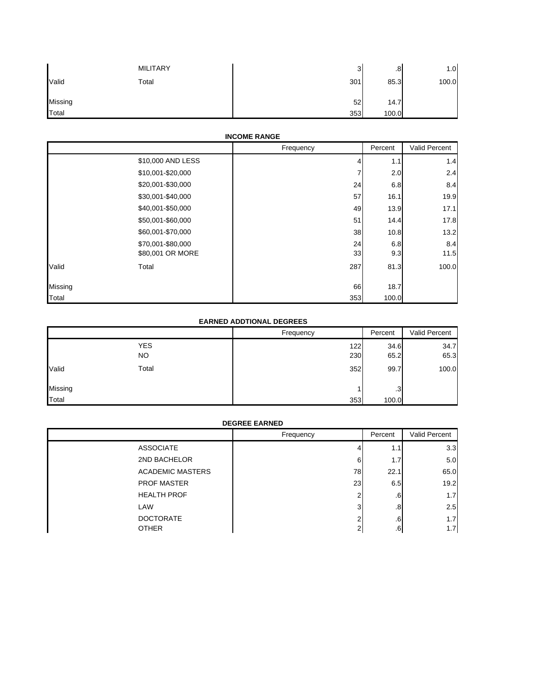|         | <b>MILITARY</b> | ຈ<br>J | .8    | 1.0   |
|---------|-----------------|--------|-------|-------|
| Valid   | Total           | 301    | 85.3  | 100.0 |
| Missing |                 | 52     | 14.7  |       |
| Total   |                 | 353    | 100.0 |       |

#### **INCOME RANGE**

|         |                   | Frequency | Percent | Valid Percent |
|---------|-------------------|-----------|---------|---------------|
|         | \$10,000 AND LESS |           | 1.1     | 1.4           |
|         | \$10,001-\$20,000 |           | 2.0     | 2.4           |
|         | \$20,001-\$30,000 | 24        | 6.8     | 8.4           |
|         | \$30,001-\$40,000 | 57        | 16.1    | 19.9          |
|         | \$40,001-\$50,000 | 49        | 13.9    | 17.1          |
|         | \$50,001-\$60,000 | 51        | 14.4    | 17.8          |
|         | \$60,001-\$70,000 | 38        | 10.8    | 13.2          |
|         | \$70,001-\$80,000 | 24        | 6.8     | 8.4           |
|         | \$80,001 OR MORE  | 33        | 9.3     | 11.5          |
| Valid   | Total             | 287       | 81.3    | 100.0         |
| Missing |                   | 66        | 18.7    |               |
| Total   |                   | 353       | 100.0   |               |

#### **EARNED ADDTIONAL DEGREES**

|         |                   | Frequency  | Percent      | Valid Percent |
|---------|-------------------|------------|--------------|---------------|
|         | <b>YES</b><br>NO. | 122<br>230 | 34.6<br>65.2 | 34.7<br>65.3  |
| Valid   | Total             | 352        | 99.7         | 100.0         |
| Missing |                   |            | .3           |               |
| Total   |                   | 353        | 100.0        |               |

#### **DEGREE EARNED**

|                         | Frequency  | Percent | Valid Percent |
|-------------------------|------------|---------|---------------|
| <b>ASSOCIATE</b>        |            | 1.1     | 3.3           |
| 2ND BACHELOR            | 6          | 1.7     | 5.0           |
| <b>ACADEMIC MASTERS</b> | 78         | 22.1    | 65.0          |
| <b>PROF MASTER</b>      | 23         | 6.5     | 19.2          |
| <b>HEALTH PROF</b>      |            | $.6\,$  | 1.7           |
| LAW                     | 3          | .8      | 2.5           |
| <b>DOCTORATE</b>        |            | .6      | 1.7           |
| <b>OTHER</b>            | $\sqrt{2}$ | .6      | 1.7           |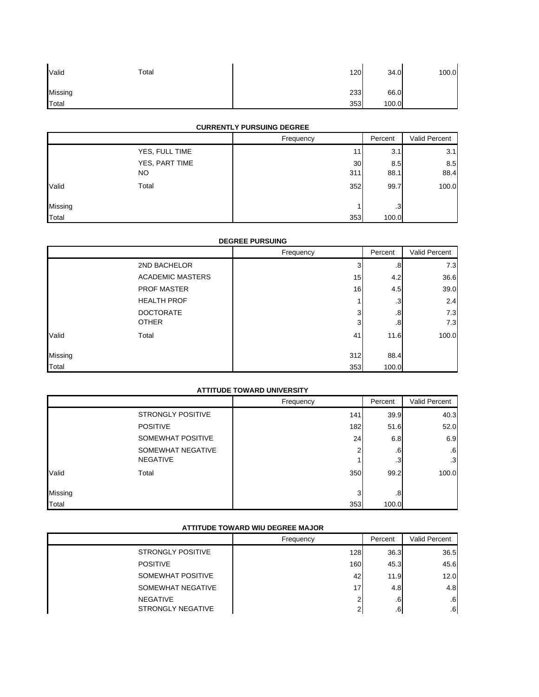| Valid   | Total | 120 | 34.0  | 100.0 |
|---------|-------|-----|-------|-------|
| Missing |       | 233 | 66.0  |       |
| Total   |       | 353 | 100.0 |       |

## **CURRENTLY PURSUING DEGREE**

|         |                | Frequency | Percent | Valid Percent |
|---------|----------------|-----------|---------|---------------|
|         | YES, FULL TIME | 11        | 3.1     | 3.1           |
|         | YES, PART TIME | 30        | 8.5     | 8.5           |
|         | NO.            | 311       | 88.1    | 88.4          |
| Valid   | Total          | 352       | 99.7    | 100.0         |
| Missing |                |           | .3      |               |
| Total   |                | 353       | 100.0   |               |

## **DEGREE PURSUING**

|         |                         | Frequency | Percent   | Valid Percent |
|---------|-------------------------|-----------|-----------|---------------|
|         | 2ND BACHELOR            | 3         | .8        | 7.3           |
|         | <b>ACADEMIC MASTERS</b> | 15        | 4.2       | 36.6          |
|         | <b>PROF MASTER</b>      | 16        | 4.5       | 39.0          |
|         | <b>HEALTH PROF</b>      |           | $\cdot$ 3 | 2.4           |
|         | <b>DOCTORATE</b>        | 3         | .8        | 7.3           |
|         | <b>OTHER</b>            | 3         | .8        | 7.3           |
| Valid   | Total                   | 41        | 11.6      | 100.0         |
| Missing |                         | 312       | 88.4      |               |
| Total   |                         | 353       | 100.0     |               |

#### **ATTITUDE TOWARD UNIVERSITY**

|         |                          | Frequency | Percent | Valid Percent |
|---------|--------------------------|-----------|---------|---------------|
|         | <b>STRONGLY POSITIVE</b> | 141       | 39.9    | 40.3          |
|         | <b>POSITIVE</b>          | 182       | 51.6    | 52.0          |
|         | SOMEWHAT POSITIVE        | 24        | 6.8     | 6.9           |
|         | SOMEWHAT NEGATIVE        |           | .6      | .6            |
|         | <b>NEGATIVE</b>          |           | .3      | .3            |
| Valid   | Total                    | 350       | 99.2    | 100.0         |
| Missing |                          | 3         | .8      |               |
| Total   |                          | 353       | 100.0   |               |

#### **ATTITUDE TOWARD WIU DEGREE MAJOR**

|                                      | Frequency | Percent          | Valid Percent |
|--------------------------------------|-----------|------------------|---------------|
| <b>STRONGLY POSITIVE</b>             | 128       | 36.3             | 36.5          |
| <b>POSITIVE</b>                      | 160       | 45.3             | 45.6          |
| SOMEWHAT POSITIVE                    | 42        | 11.9             | 12.0          |
| SOMEWHAT NEGATIVE                    | 17        | 4.8              | 4.8           |
| NEGATIVE<br><b>STRONGLY NEGATIVE</b> |           | $.6\,$<br>$.6\,$ | .6<br>.6      |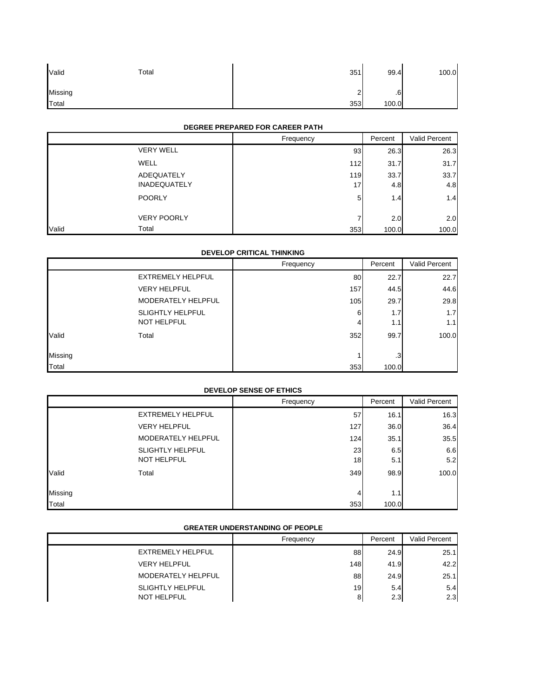| Valid   | Total | 351             | 99.4    | 100.0 |
|---------|-------|-----------------|---------|-------|
| Missing |       | $\sqrt{2}$<br>- | ⌒<br>.6 |       |
| Total   |       | 353             | 100.0   |       |

## **DEGREE PREPARED FOR CAREER PATH**

|                                   | Frequency | Percent     | Valid Percent |
|-----------------------------------|-----------|-------------|---------------|
| <b>VERY WELL</b>                  | 93        | 26.3        | 26.3          |
| WELL                              | 112       | 31.7        | 31.7          |
| ADEQUATELY<br><b>INADEQUATELY</b> | 119<br>17 | 33.7<br>4.8 | 33.7<br>4.8   |
| <b>POORLY</b>                     | 5         | 1.4         | 1.4           |
| <b>VERY POORLY</b>                |           | 2.0         | 2.0           |
| Total<br>Valid                    | 353       | 100.0       | 100.0         |

## **DEVELOP CRITICAL THINKING**

|         |                          | Frequency | Percent | Valid Percent |
|---------|--------------------------|-----------|---------|---------------|
|         | <b>EXTREMELY HELPFUL</b> | 80        | 22.7    | 22.7          |
|         | <b>VERY HELPFUL</b>      | 157       | 44.5    | 44.6          |
|         | MODERATELY HELPFUL       | 105       | 29.7    | 29.8          |
|         | <b>SLIGHTLY HELPFUL</b>  | 6         | 1.7     | 1.7           |
|         | <b>NOT HELPFUL</b>       | 4         | 1.1     | 1.1           |
| Valid   | Total                    | 352       | 99.7    | 100.0         |
| Missing |                          |           | .3      |               |
| Total   |                          | 353       | 100.0   |               |

#### **DEVELOP SENSE OF ETHICS**

|         |                          | Frequency | Percent | Valid Percent |
|---------|--------------------------|-----------|---------|---------------|
|         | <b>EXTREMELY HELPFUL</b> | 57        | 16.1    | 16.3          |
|         | <b>VERY HELPFUL</b>      | 127       | 36.0    | 36.4          |
|         | MODERATELY HELPFUL       | 124       | 35.1    | 35.5          |
|         | <b>SLIGHTLY HELPFUL</b>  | 23        | 6.5     | 6.6           |
|         | NOT HELPFUL              | 18        | 5.1     | 5.2           |
| Valid   | Total                    | 349       | 98.9    | 100.0         |
| Missing |                          | 4         | 1.1     |               |
| Total   |                          | 353       | 100.0   |               |

#### **GREATER UNDERSTANDING OF PEOPLE**

|                         | Frequency | Percent | Valid Percent |
|-------------------------|-----------|---------|---------------|
| EXTREMELY HELPFUL       | 88        | 24.9    | 25.1          |
| <b>VERY HELPFUL</b>     | 148       | 41.9    | 42.2          |
| MODERATELY HELPFUL      | 88        | 24.9    | 25.1          |
| <b>SLIGHTLY HELPFUL</b> | 19        | 5.4     | 5.4           |
| NOT HELPFUL             |           | 2.3     | 2.3           |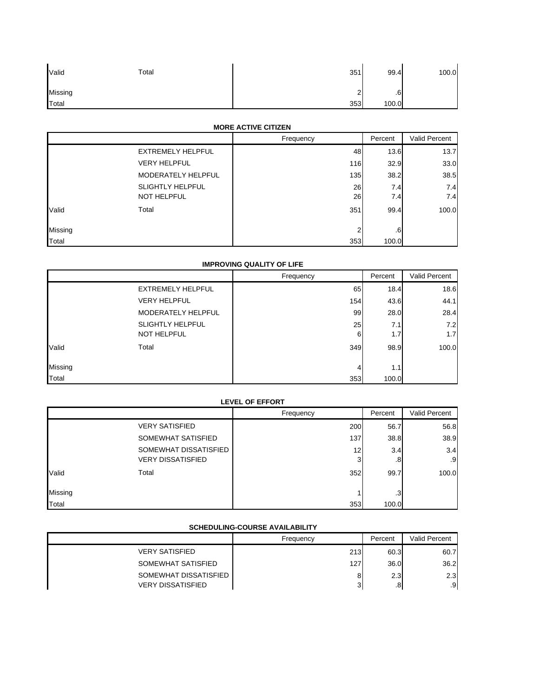| Valid   | Total | 351                           | 99.4    | 100.0 |
|---------|-------|-------------------------------|---------|-------|
| Missing |       | $\overline{\phantom{0}}$<br>- | ⌒<br>.6 |       |
| Total   |       | 353                           | 100.0   |       |

## **MORE ACTIVE CITIZEN**

|         |                         | Frequency      | Percent      | Valid Percent |
|---------|-------------------------|----------------|--------------|---------------|
|         | EXTREMELY HELPFUL       | 48             | 13.6         | 13.7          |
|         | <b>VERY HELPFUL</b>     | 116            | 32.9         | 33.0          |
|         | MODERATELY HELPFUL      | 135            | 38.2         | 38.5          |
|         | <b>SLIGHTLY HELPFUL</b> | 26             | 7.4          | 7.4           |
|         | NOT HELPFUL             | 26             | 7.4          | 7.4           |
| Valid   | Total                   | 351            | 99.4         | 100.0         |
| Missing |                         | $\overline{2}$ | $.6^{\circ}$ |               |
| Total   |                         | 353            | 100.0        |               |

## **IMPROVING QUALITY OF LIFE**

|         |                          | Frequency | Percent | Valid Percent |
|---------|--------------------------|-----------|---------|---------------|
|         | <b>EXTREMELY HELPFUL</b> | 65        | 18.4    | 18.6          |
|         | <b>VERY HELPFUL</b>      | 154       | 43.6    | 44.1          |
|         | MODERATELY HELPFUL       | 99        | 28.0    | 28.4          |
|         | <b>SLIGHTLY HELPFUL</b>  | 25        | 7.1     | 7.2           |
|         | NOT HELPFUL              | 6         | 1.7     | 1.7           |
| Valid   | Total                    | 349       | 98.9    | 100.0         |
|         |                          |           |         |               |
| Missing |                          | 4         | 1.1     |               |
| Total   |                          | 353       | 100.0   |               |

#### **LEVEL OF EFFORT**

|         |                          | Frequency       | Percent      | <b>Valid Percent</b> |
|---------|--------------------------|-----------------|--------------|----------------------|
|         | <b>VERY SATISFIED</b>    | 200             | 56.7         | 56.8                 |
|         | SOMEWHAT SATISFIED       | 137             | 38.8         | 38.9                 |
|         | SOMEWHAT DISSATISFIED    | 12 <sub>1</sub> | 3.4          | 3.4                  |
|         | <b>VERY DISSATISFIED</b> | 3               | $.8^{\circ}$ | .9                   |
| Valid   | Total                    | 352             | 99.7         | 100.0                |
|         |                          |                 |              |                      |
| Missing |                          |                 | .3           |                      |
| Total   |                          | 353             | 100.0        |                      |

#### **SCHEDULING-COURSE AVAILABILITY**

|                                                   | Frequency | Percent             | Valid Percent       |
|---------------------------------------------------|-----------|---------------------|---------------------|
| <b>VERY SATISFIED</b>                             | 213       | 60.3                | 60.7                |
| SOMEWHAT SATISFIED                                | 127       | 36.0                | 36.2                |
| SOMEWHAT DISSATISFIED<br><b>VERY DISSATISFIED</b> | R<br>ັ    | 2.3<br>$.8^{\circ}$ | 2.3<br>$.9^{\circ}$ |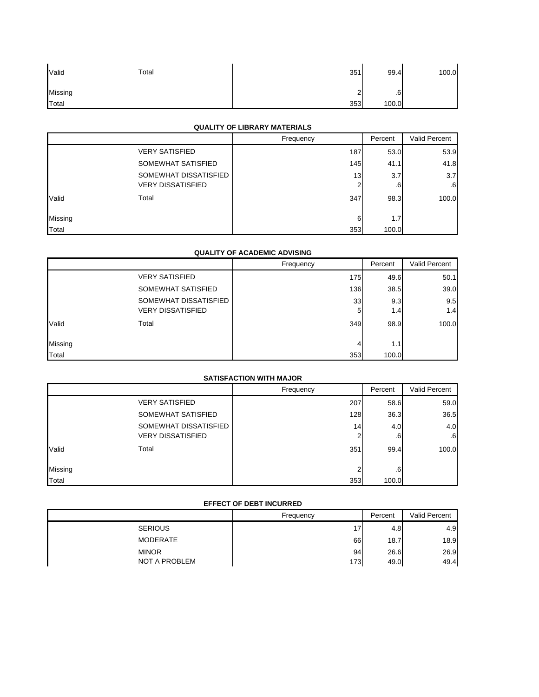| Valid   | Total | 351                      | 99.4         | 100.0 |
|---------|-------|--------------------------|--------------|-------|
| Missing |       | $\overline{\phantom{0}}$ | $\sim$<br>.6 |       |
| Total   |       | 353                      | 100.0        |       |

## **QUALITY OF LIBRARY MATERIALS**

|         |                          | Frequency | Percent | Valid Percent |
|---------|--------------------------|-----------|---------|---------------|
|         | <b>VERY SATISFIED</b>    | 187       | 53.0    | 53.9          |
|         | SOMEWHAT SATISFIED       | 145       | 41.1    | 41.8          |
|         | SOMEWHAT DISSATISFIED    | 13        | 3.7     | 3.7           |
|         | <b>VERY DISSATISFIED</b> | 2         | .6      | .6            |
| Valid   | Total                    | 347       | 98.3    | 100.0         |
| Missing |                          | 6         | 1.7     |               |
| Total   |                          | 353       | 100.0   |               |

## **QUALITY OF ACADEMIC ADVISING**

|         |                          | Frequency | Percent | Valid Percent |
|---------|--------------------------|-----------|---------|---------------|
|         | <b>VERY SATISFIED</b>    | 175       | 49.6    | 50.1          |
|         | SOMEWHAT SATISFIED       | 136       | 38.5    | 39.0          |
|         | SOMEWHAT DISSATISFIED    | 33        | 9.3     | 9.5           |
|         | <b>VERY DISSATISFIED</b> | 5         | 1.4     | 1.4           |
| Valid   | Total                    | 349       | 98.9    | 100.0         |
|         |                          |           |         |               |
| Missing |                          | 4         | 1.1     |               |
| Total   |                          | 353       | 100.0   |               |

## **SATISFACTION WITH MAJOR**

| <b>SATISFACTION WITH MAJOR</b> |                          |                 |         |               |
|--------------------------------|--------------------------|-----------------|---------|---------------|
|                                |                          | Frequency       | Percent | Valid Percent |
|                                | <b>VERY SATISFIED</b>    | 207             | 58.6    | 59.0          |
|                                | SOMEWHAT SATISFIED       | 128             | 36.3    | 36.5          |
|                                | SOMEWHAT DISSATISFIED    | 14 <sub>1</sub> | 4.0     | 4.0           |
|                                | <b>VERY DISSATISFIED</b> | ⌒               | .6      | .6            |
| Valid                          | Total                    | 351             | 99.4    | 100.0         |
|                                |                          |                 |         |               |
| Missing                        |                          | ◠               | .6      |               |
| Total                          |                          | 353             | 100.0   |               |

## **EFFECT OF DEBT INCURRED**

| EFFECT OF DEDITINGURAED       |           |              |               |
|-------------------------------|-----------|--------------|---------------|
|                               | Frequency | Percent      | Valid Percent |
| <b>SERIOUS</b>                | 17        | 4.81         | 4.9           |
| <b>MODERATE</b>               | 66        | 18.7         | 18.9          |
| <b>MINOR</b><br>NOT A PROBLEM | 94<br>173 | 26.6<br>49.0 | 26.9<br>49.4  |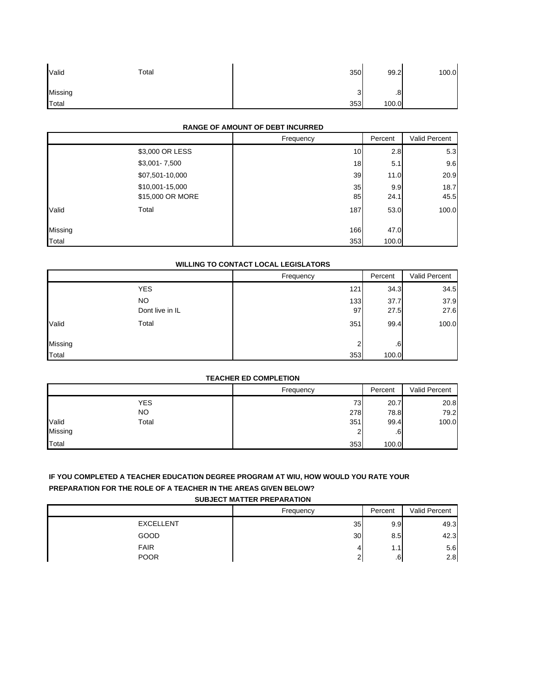| Valid   | Total | 350    | 99.2  | 100.0 |
|---------|-------|--------|-------|-------|
| Missing |       | ◠<br>ບ | .8    |       |
| Total   |       | 353    | 100.0 |       |

## **RANGE OF AMOUNT OF DEBT INCURRED**

|         |                  | Frequency | Percent | Valid Percent |
|---------|------------------|-----------|---------|---------------|
|         | \$3,000 OR LESS  | 10        | 2.8     | 5.3           |
|         | $$3,001 - 7,500$ | 18        | 5.1     | 9.6           |
|         | \$07,501-10,000  | 39        | 11.0    | 20.9          |
|         | \$10,001-15,000  | 35        | 9.9     | 18.7          |
|         | \$15,000 OR MORE | 85        | 24.1    | 45.5          |
| Valid   | Total            | 187       | 53.0    | 100.0         |
| Missing |                  | 166       | 47.0    |               |
| Total   |                  | 353       | 100.0   |               |

## **WILLING TO CONTACT LOCAL LEGISLATORS**

|         |                 | Frequency | Percent | Valid Percent |
|---------|-----------------|-----------|---------|---------------|
|         | <b>YES</b>      | 121       | 34.3    | 34.5          |
|         | NO.             | 133       | 37.7    | 37.9          |
|         | Dont live in IL | 97        | 27.5    | 27.6          |
| Valid   | Total           | 351       | 99.4    | 100.0         |
| Missing |                 | $\sim$    | .6      |               |
| Total   |                 | 353       | 100.0   |               |

#### **TEACHER ED COMPLETION**

|                | Frequency | Percent | Valid Percent |
|----------------|-----------|---------|---------------|
| <b>YES</b>     | 73        | 20.7    | 20.8          |
| NO             | 278       | 78.8    | 79.2          |
| Valid<br>Total | 351       | 99.4    | 100.0         |
| Missing        |           | .6      |               |
| Total          | 353       | 100.0   |               |

## **IF YOU COMPLETED A TEACHER EDUCATION DEGREE PROGRAM AT WIU, HOW WOULD YOU RATE YOUR PREPARATION FOR THE ROLE OF A TEACHER IN THE AREAS GIVEN BELOW?**

**SUBJECT MATTER PREPARATION**

|                  | Frequency | Percent | Valid Percent |
|------------------|-----------|---------|---------------|
| <b>EXCELLENT</b> | 35        | 9.9     | 49.3          |
| GOOD             | 30        | 8.5     | 42.3          |
| <b>FAIR</b>      |           | 1.1     | 5.6           |
| <b>POOR</b>      | ∼         | .6      | 2.8           |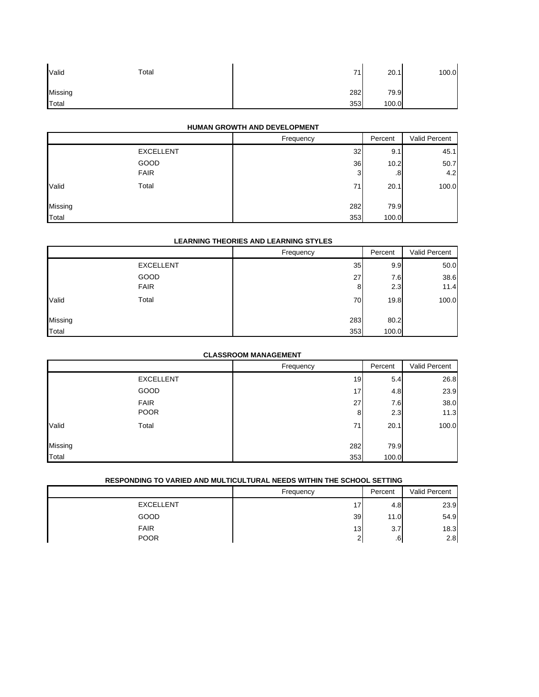| Valid   | Total | 71  | 20.1  | 100.0 |
|---------|-------|-----|-------|-------|
| Missing |       | 282 | 79.9  |       |
| Total   |       | 353 | 100.0 |       |

## **HUMAN GROWTH AND DEVELOPMENT**

|         |                  | Frequency | Percent | Valid Percent |
|---------|------------------|-----------|---------|---------------|
|         | <b>EXCELLENT</b> | 32        | 9.1     | 45.1          |
|         | GOOD             | 36        | 10.2    | 50.7          |
|         | <b>FAIR</b>      | 3         | .8      | 4.2           |
| Valid   | Total            | 71        | 20.1    | 100.0         |
| Missing |                  | 282       | 79.9    |               |
| Total   |                  | 353       | 100.0   |               |

#### **LEARNING THEORIES AND LEARNING STYLES**

|         |                  | Frequency | Percent | Valid Percent |
|---------|------------------|-----------|---------|---------------|
|         | <b>EXCELLENT</b> | 35        | 9.9     | 50.0          |
|         | GOOD             | 27        | 7.6     | 38.6          |
|         | <b>FAIR</b>      | 8         | 2.3     | 11.4          |
| Valid   | Total            | 70        | 19.8    | 100.0         |
| Missing |                  | 283       | 80.2    |               |
| Total   |                  | 353       | 100.0   |               |

## **CLASSROOM MANAGEMENT**

|         |                  | Frequency | Percent | Valid Percent |
|---------|------------------|-----------|---------|---------------|
|         | <b>EXCELLENT</b> | 19        | 5.4     | 26.8          |
|         | GOOD             | 17        | 4.8     | 23.9          |
|         | <b>FAIR</b>      | 27        | 7.6     | 38.0          |
|         | <b>POOR</b>      | 8         | 2.3     | 11.3          |
| Valid   | Total            | 71        | 20.1    | 100.0         |
| Missing |                  | 282       | 79.9    |               |
| Total   |                  | 353       | 100.0   |               |

## **RESPONDING TO VARIED AND MULTICULTURAL NEEDS WITHIN THE SCHOOL SETTING**

|                  | Frequency | Percent | Valid Percent |
|------------------|-----------|---------|---------------|
| <b>EXCELLENT</b> | 17        | 4.8     | 23.9          |
| GOOD             | 39        | 11.0    | 54.9          |
| <b>FAIR</b>      | 13        | 3.7     | 18.3          |
| <b>POOR</b>      | ∠         | .G      | 2.8           |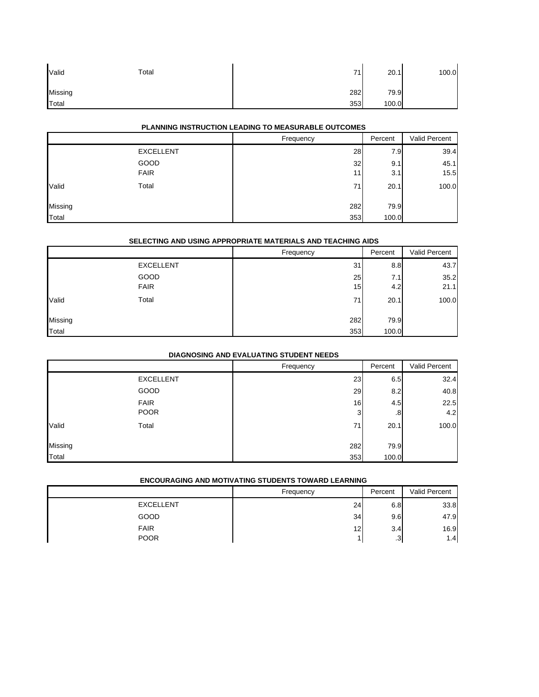| Valid   | Total | 71  | 20.1  | 100.0 |
|---------|-------|-----|-------|-------|
| Missing |       | 282 | 79.9  |       |
| Total   |       | 353 | 100.0 |       |

## **PLANNING INSTRUCTION LEADING TO MEASURABLE OUTCOMES**

|                |                  | Frequency | Percent | Valid Percent |
|----------------|------------------|-----------|---------|---------------|
|                | <b>EXCELLENT</b> | 28        | 7.9     | 39.4          |
|                | GOOD             | 32        | 9.1     | 45.1          |
|                | <b>FAIR</b>      | 11        | 3.1     | 15.5          |
| Valid          | Total            | 71        | 20.1    | 100.0         |
| <b>Missing</b> |                  | 282       | 79.9    |               |
| Total          |                  | 353       | 100.0   |               |

#### **SELECTING AND USING APPROPRIATE MATERIALS AND TEACHING AIDS**

|         |                  | Frequency | Percent | Valid Percent |
|---------|------------------|-----------|---------|---------------|
|         | <b>EXCELLENT</b> | 31        | 8.8     | 43.7          |
|         | GOOD             | 25        | 7.1     | 35.2          |
|         | <b>FAIR</b>      | 15        | 4.2     | 21.1          |
| Valid   | Total            | 71        | 20.1    | 100.0         |
| Missing |                  | 282       | 79.9    |               |
| Total   |                  | 353       | 100.0   |               |

## **DIAGNOSING AND EVALUATING STUDENT NEEDS**

|         |                  | Frequency | Percent | Valid Percent |
|---------|------------------|-----------|---------|---------------|
|         | <b>EXCELLENT</b> | 23        | 6.5     | 32.4          |
|         | GOOD             | 29        | 8.2     | 40.8          |
|         | <b>FAIR</b>      | 16        | 4.5     | 22.5          |
|         | <b>POOR</b>      | 3         | .8      | 4.2           |
| Valid   | Total            | 71        | 20.1    | 100.0         |
| Missing |                  | 282       | 79.9    |               |
| Total   |                  | 353       | 100.0   |               |

#### **ENCOURAGING AND MOTIVATING STUDENTS TOWARD LEARNING**

|                  | Frequency | Percent | Valid Percent |
|------------------|-----------|---------|---------------|
| <b>EXCELLENT</b> | 24        | 6.8     | 33.8          |
| <b>GOOD</b>      | 34        | 9.6     | 47.9          |
| <b>FAIR</b>      | 12        | 3.4     | 16.9          |
| <b>POOR</b>      |           | .3      | 1.4           |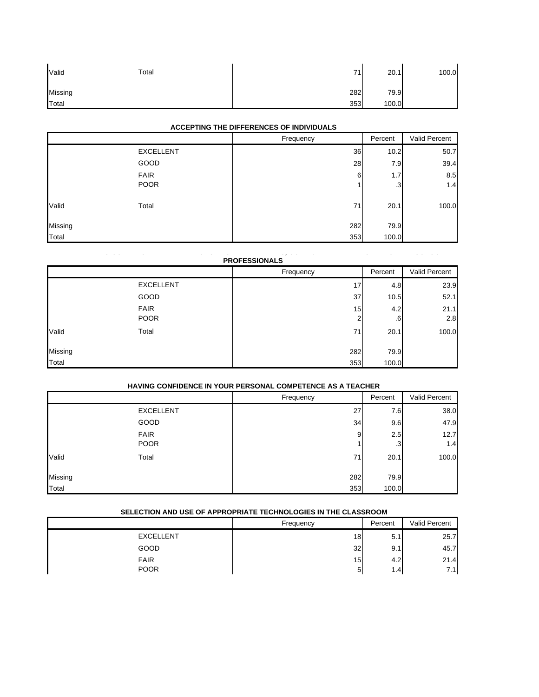| Valid   | Total | 71  | 20.7<br>-4 | 100.0 |
|---------|-------|-----|------------|-------|
| Missing |       | 282 | 79.9       |       |
| Total   |       | 353 | 100.0      |       |

## **ACCEPTING THE DIFFERENCES OF INDIVIDUALS**

|         |                  | Frequency | Percent | Valid Percent |
|---------|------------------|-----------|---------|---------------|
|         | <b>EXCELLENT</b> | 36        | 10.2    | 50.7          |
|         | GOOD             | 28        | 7.9     | 39.4          |
|         | <b>FAIR</b>      | 6         | 1.7     | 8.5           |
|         | <b>POOR</b>      |           | .3      | 1.4           |
| Valid   | Total            | 71        | 20.1    | 100.0         |
| Missing |                  | 282       | 79.9    |               |
| Total   |                  | 353       | 100.0   |               |

#### **G CO O O S S S, CO U S O SC OO PROFESSIONALS**

|         |                  | Frequency | Percent      | Valid Percent |
|---------|------------------|-----------|--------------|---------------|
|         | <b>EXCELLENT</b> | 17        | 4.8          | 23.9          |
|         | GOOD             | 37        | 10.5         | 52.1          |
|         | <b>FAIR</b>      | 15        | 4.2          | 21.1          |
|         | <b>POOR</b>      | ◠         | $.6^{\circ}$ | 2.8           |
| Valid   | Total            | 71        | 20.1         | 100.0         |
| Missing |                  | 282       | 79.9         |               |
|         |                  |           |              |               |
| Total   |                  | 353       | 100.0        |               |

#### **HAVING CONFIDENCE IN YOUR PERSONAL COMPETENCE AS A TEACHER**

|         |                  | Frequency | Percent | Valid Percent |
|---------|------------------|-----------|---------|---------------|
|         | <b>EXCELLENT</b> | 27        | 7.6     | 38.0          |
|         | GOOD             | 34        | 9.6     | 47.9          |
|         | <b>FAIR</b>      | 9         | 2.5     | 12.7          |
|         | <b>POOR</b>      |           | .3      | 1.4           |
| Valid   | Total            | 71        | 20.1    | 100.0         |
| Missing |                  | 282       | 79.9    |               |
| Total   |                  | 353       | 100.0   |               |

#### **SELECTION AND USE OF APPROPRIATE TECHNOLOGIES IN THE CLASSROOM**

| SELECTION AND USE OF APPROPRIATE TECHNOLOGIES IN THE CLASSROOM |           |                  |                      |  |
|----------------------------------------------------------------|-----------|------------------|----------------------|--|
|                                                                | Frequency | Percent          | <b>Valid Percent</b> |  |
| <b>EXCELLENT</b>                                               | 18        | 5.1              | 25.7                 |  |
| GOOD                                                           | 32        | 9.1              | 45.7                 |  |
| <b>FAIR</b>                                                    | 15        | 4.2              | 21.4                 |  |
| <b>POOR</b>                                                    | 5         | 1.4 <sub>1</sub> | 7.11                 |  |